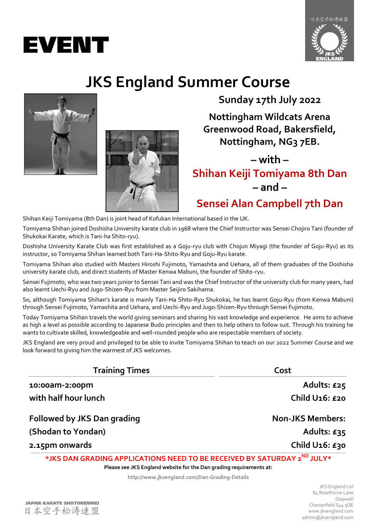



## **JKS England Summer Course**





**Sunday 17th July 2022**

**Nottingham Wildcats Arena Greenwood Road, Bakersfield, Nottingham, NG3 7EB.**

**– with –**

**Shihan Keiji Tomiyama 8th Dan – and –**

**Sensei Alan Campbell 7th Dan**

Shihan Keiji Tomiyama (8th Dan) is joint head of Kofukan International based in the UK.

Tomiyama Shihan joined Doshisha University karate club in 1968 where the Chief Instructor was Sensei Chojiro Tani (founder of Shukokai Karate, which is Tani-ha Shito-ryu).

Doshisha University Karate Club was first established as a Goju-ryu club with Chojun Miyagi (the founder of Goju-Ryu) as its instructor, so Tomiyama Shihan learned both Tani-Ha-Shito-Ryu and Goju-Ryu karate.

Tomiyama Shihan also studied with Masters Hiroshi Fujimoto, Yamashita and Uehara, all of them graduates of the Doshisha university karate club, and direct students of Master Kenwa Mabuni, the founder of Shito-ryu.

Sensei Fujimoto, who was two years junior to Sensei Tani and was the Chief Instructor of the university club for many years, had also learnt Uechi-Ryu and Jugo-Shizen-Ryu from Master Seijiro Sakihama.

So, although Tomiyama Shihan's karate is mainly Tani-Ha Shito-Ryu Shukokai, he has learnt Goju-Ryu (from Kenwa Mabuni) through Sensei Fujimoto, Yamashita and Uehara, and Uechi-Ryu and Jugo-Shizen-Ryu through Sensei Fujimoto.

Today Tomiyama Shihan travels the world giving seminars and sharing his vast knowledge and experience. He aims to achieve as high a level as possible according to Japanese Budo principles and then to help others to follow suit. Through his training he wants to cultivate skilled, knowledgeable and well-rounded people who are respectable members of society.

JKS England are very proud and privileged to be able to invite Tomiyama Shihan to teach on our 2022 Summer Course and we look forward to giving him the warmest of JKS welcomes.

| <b>Training Times</b>       | Cost                          |  |
|-----------------------------|-------------------------------|--|
| 10:00am-2:00pm              | Adults: £25                   |  |
| with half hour lunch        | Child U <sub>16</sub> : £20   |  |
| Followed by JKS Dan grading | <b>Non-JKS Members:</b>       |  |
| (Shodan to Yondan)          | Adults: $£35$                 |  |
| 2.15pm onwards              | Child U <sub>16</sub> : $£30$ |  |

**\*JKS DAN GRADING APPLICATIONS NEED TO BE RECEIVED BY SATURDAY 2 ND JULY\***

**Please see JKS England website for the Dan grading requirements at:**

**http://www.jksengland.com/Dan-Grading-Details**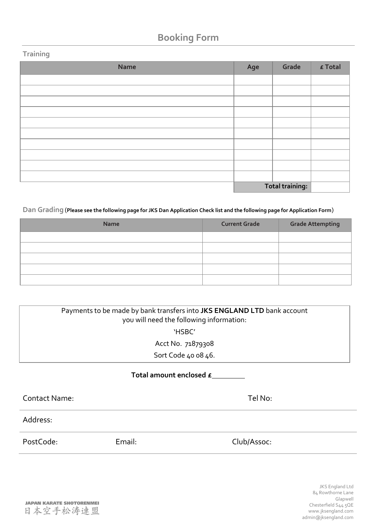## **Booking Form**

### **Training**

| Name | Age | Grade           | $\boldsymbol{\epsilon}$ Total |
|------|-----|-----------------|-------------------------------|
|      |     |                 |                               |
|      |     |                 |                               |
|      |     |                 |                               |
|      |     |                 |                               |
|      |     |                 |                               |
|      |     |                 |                               |
|      |     |                 |                               |
|      |     |                 |                               |
|      |     |                 |                               |
|      |     |                 |                               |
|      |     | Total training: |                               |

**Dan Grading** (**Please see the following page for JKS Dan Application Check list and the following page for Application Form**)

| <b>Name</b> | <b>Current Grade</b> | <b>Grade Attempting</b> |
|-------------|----------------------|-------------------------|
|             |                      |                         |
|             |                      |                         |
|             |                      |                         |
|             |                      |                         |
|             |                      |                         |

| Payments to be made by bank transfers into JKS ENGLAND LTD bank account<br>you will need the following information: |        |             |  |
|---------------------------------------------------------------------------------------------------------------------|--------|-------------|--|
| 'HSBC'                                                                                                              |        |             |  |
| Acct No. 71879308                                                                                                   |        |             |  |
| Sort Code 40 08 46.                                                                                                 |        |             |  |
| Total amount enclosed £                                                                                             |        |             |  |
| <b>Contact Name:</b>                                                                                                |        | Tel No:     |  |
| Address:                                                                                                            |        |             |  |
| PostCode:                                                                                                           | Email: | Club/Assoc: |  |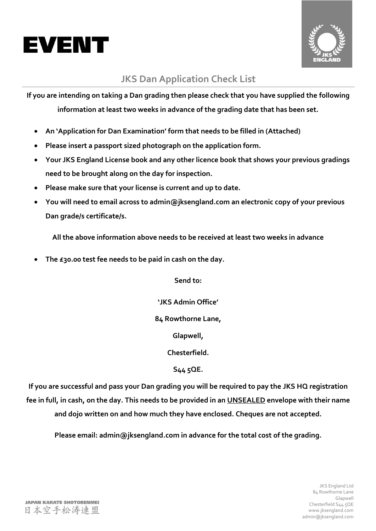



## **JKS Dan Application Check List**

**If you are intending on taking a Dan grading then please check that you have supplied the following information at least two weeks in advance of the grading date that has been set.**

- **An 'Application for Dan Examination' form that needs to be filled in (Attached)**
- **Please insert a passport sized photograph on the application form.**
- **Your JKS England License book and any other licence book that shows your previous gradings need to be brought along on the day for inspection.**
- **Please make sure that your license is current and up to date.**
- **You will need to email across to admin@jksengland.com an electronic copy of your previous Dan grade/s certificate/s.**

**All the above information above needs to be received at least two weeks in advance**

**The £30.00 test fee needs to be paid in cash on the day.**

**Send to:**

**'JKS Admin Office'**

**84 Rowthorne Lane,** 

**Glapwell,** 

**Chesterfield.** 

**S44 5QE.**

**If you are successful and pass your Dan grading you will be required to pay the JKS HQ registration fee in full, in cash, on the day. This needs to be provided in an UNSEALED envelope with their name and dojo written on and how much they have enclosed. Cheques are not accepted.**

**Please email: admin@jksengland.com in advance for the total cost of the grading.**